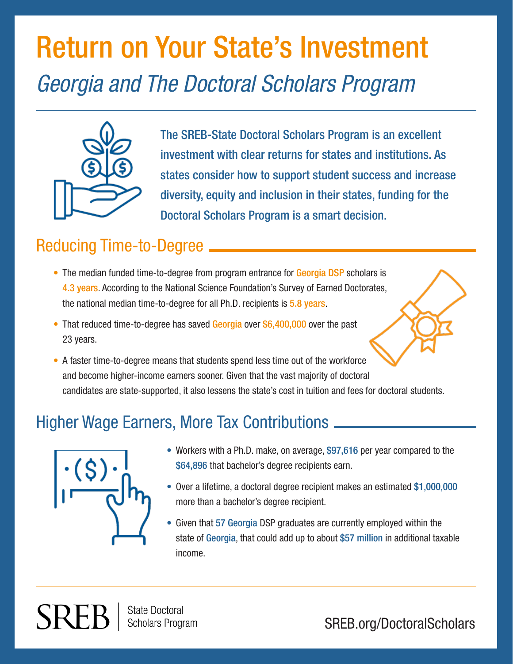# Return on Your State's Investment *Georgia and The Doctoral Scholars Program*



The SREB-State Doctoral Scholars Program is an excellent investment with clear returns for states and institutions. As states consider how to support student success and increase diversity, equity and inclusion in their states, funding for the Doctoral Scholars Program is a smart decision.

### Reducing Time-to-Degree

- The median funded time-to-degree from program entrance for Georgia DSP scholars is 4.3 years. According to the National Science Foundation's Survey of Earned Doctorates, the national median time-to-degree for all Ph.D. recipients is 5.8 years.
- That reduced time-to-degree has saved Georgia over \$6,400,000 over the past 23 years.
- A faster time-to-degree means that students spend less time out of the workforce and become higher-income earners sooner. Given that the vast majority of doctoral candidates are state-supported, it also lessens the state's cost in tuition and fees for doctoral students.

### Higher Wage Earners, More Tax Contributions



- Workers with a Ph.D. make, on average, \$97,616 per year compared to the \$64,896 that bachelor's degree recipients earn.
- Over a lifetime, a doctoral degree recipient makes an estimated \$1,000,000 more than a bachelor's degree recipient.
- Given that 57 Georgia DSP graduates are currently employed within the state of Georgia, that could add up to about \$57 million in additional taxable income.

**State Doctoral** Scholars Program

SREB.org/DoctoralScholars